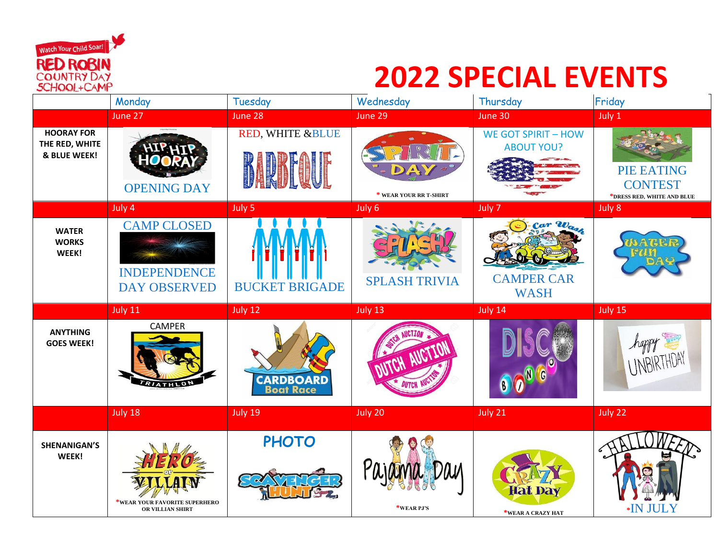

## **2022 SPECIAL EVENTS**

|                                                     | Monday                                                           | Tuesday                       | Wednesday                | Thursday                                        | Friday                                                            |
|-----------------------------------------------------|------------------------------------------------------------------|-------------------------------|--------------------------|-------------------------------------------------|-------------------------------------------------------------------|
|                                                     | June 27                                                          | June 28                       | June 29                  | June 30                                         | July 1                                                            |
| <b>HOORAY FOR</b><br>THE RED, WHITE<br>& BLUE WEEK! | <b>OPENING DAY</b>                                               | RED, WHITE &BLUE              | * WEAR YOUR RR T-SHIRT   | <b>WE GOT SPIRIT - HOW</b><br><b>ABOUT YOU?</b> | <b>PIE EATING</b><br><b>CONTEST</b><br>*DRESS RED, WHITE AND BLUE |
|                                                     | July 4                                                           | July 5                        | July 6                   | July 7                                          | July 8                                                            |
| <b>WATER</b><br><b>WORKS</b><br>WEEK!               | <b>CAMP CLOSED</b><br><b>INDEPENDENCE</b><br><b>DAY OBSERVED</b> | <b>BUCKET BRIGADE</b>         | <b>SPLASH TRIVIA</b>     | Car Wash<br><b>CAMPER CAR</b><br><b>WASH</b>    |                                                                   |
|                                                     | July 11                                                          | July 12                       | July 13                  | July 14                                         | July 15                                                           |
| <b>ANYTHING</b><br><b>GOES WEEK!</b>                | <b>CAMPER</b><br>TRIATHLON                                       | <b>CARDBOARD</b><br>Boat Race | TOH AVIOTTO              |                                                 | happy                                                             |
|                                                     | July 18                                                          | July 19                       | July 20                  | July 21                                         | July 22                                                           |
| <b>SHENANIGAN'S</b><br>WEEK!                        | *WEAR YOUR FAVORITE SUPERHERO<br>OR VILLIAN SHIRT                | <b>PHOTO</b>                  | Pajama Day<br>*WEAR PJ'S | <b>Hat Day</b><br>*WEAR A CRAZY HAT             | <b>*IN JULY</b>                                                   |